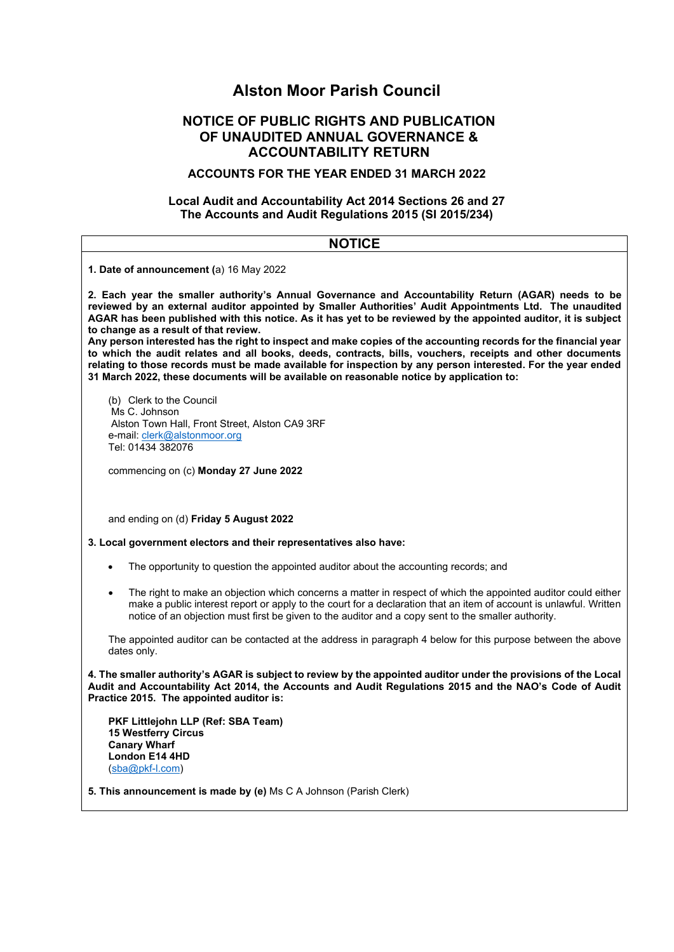# **Alston Moor Parish Council**

# **NOTICE OF PUBLIC RIGHTS AND PUBLICATION OF UNAUDITED ANNUAL GOVERNANCE & ACCOUNTABILITY RETURN**

# **ACCOUNTS FOR THE YEAR ENDED 31 MARCH 2022**

# **Local Audit and Accountability Act 2014 Sections 26 and 27 The Accounts and Audit Regulations 2015 (SI 2015/234)**

| <b>NOTICE</b>                                                                                                                                                                                                                                                                                                                                                                                                                                                                                                                                                                                                                                                                                                                                                                                                         |  |  |
|-----------------------------------------------------------------------------------------------------------------------------------------------------------------------------------------------------------------------------------------------------------------------------------------------------------------------------------------------------------------------------------------------------------------------------------------------------------------------------------------------------------------------------------------------------------------------------------------------------------------------------------------------------------------------------------------------------------------------------------------------------------------------------------------------------------------------|--|--|
| 1. Date of announcement (a) 16 May 2022                                                                                                                                                                                                                                                                                                                                                                                                                                                                                                                                                                                                                                                                                                                                                                               |  |  |
| 2. Each year the smaller authority's Annual Governance and Accountability Return (AGAR) needs to be<br>reviewed by an external auditor appointed by Smaller Authorities' Audit Appointments Ltd. The unaudited<br>AGAR has been published with this notice. As it has yet to be reviewed by the appointed auditor, it is subject<br>to change as a result of that review.<br>Any person interested has the right to inspect and make copies of the accounting records for the financial year<br>to which the audit relates and all books, deeds, contracts, bills, vouchers, receipts and other documents<br>relating to those records must be made available for inspection by any person interested. For the year ended<br>31 March 2022, these documents will be available on reasonable notice by application to: |  |  |
| (b) Clerk to the Council<br>Ms C. Johnson<br>Alston Town Hall, Front Street, Alston CA9 3RF<br>e-mail: clerk@alstonmoor.org<br>Tel: 01434 382076                                                                                                                                                                                                                                                                                                                                                                                                                                                                                                                                                                                                                                                                      |  |  |
| commencing on (c) Monday 27 June 2022                                                                                                                                                                                                                                                                                                                                                                                                                                                                                                                                                                                                                                                                                                                                                                                 |  |  |
| and ending on (d) Friday 5 August 2022                                                                                                                                                                                                                                                                                                                                                                                                                                                                                                                                                                                                                                                                                                                                                                                |  |  |
| 3. Local government electors and their representatives also have:                                                                                                                                                                                                                                                                                                                                                                                                                                                                                                                                                                                                                                                                                                                                                     |  |  |
| The opportunity to question the appointed auditor about the accounting records; and                                                                                                                                                                                                                                                                                                                                                                                                                                                                                                                                                                                                                                                                                                                                   |  |  |
| The right to make an objection which concerns a matter in respect of which the appointed auditor could either<br>$\bullet$<br>make a public interest report or apply to the court for a declaration that an item of account is unlawful. Written<br>notice of an objection must first be given to the auditor and a copy sent to the smaller authority.                                                                                                                                                                                                                                                                                                                                                                                                                                                               |  |  |
| The appointed auditor can be contacted at the address in paragraph 4 below for this purpose between the above<br>dates only.                                                                                                                                                                                                                                                                                                                                                                                                                                                                                                                                                                                                                                                                                          |  |  |
| 4. The smaller authority's AGAR is subject to review by the appointed auditor under the provisions of the Local<br>Audit and Accountability Act 2014, the Accounts and Audit Regulations 2015 and the NAO's Code of Audit<br>Practice 2015. The appointed auditor is:                                                                                                                                                                                                                                                                                                                                                                                                                                                                                                                                                 |  |  |
| PKF Littlejohn LLP (Ref: SBA Team)<br><b>15 Westferry Circus</b><br><b>Canary Wharf</b><br>London E14 4HD<br>(sba@pkf-l.com)                                                                                                                                                                                                                                                                                                                                                                                                                                                                                                                                                                                                                                                                                          |  |  |
| 5. This announcement is made by (e) Ms C A Johnson (Parish Clerk)                                                                                                                                                                                                                                                                                                                                                                                                                                                                                                                                                                                                                                                                                                                                                     |  |  |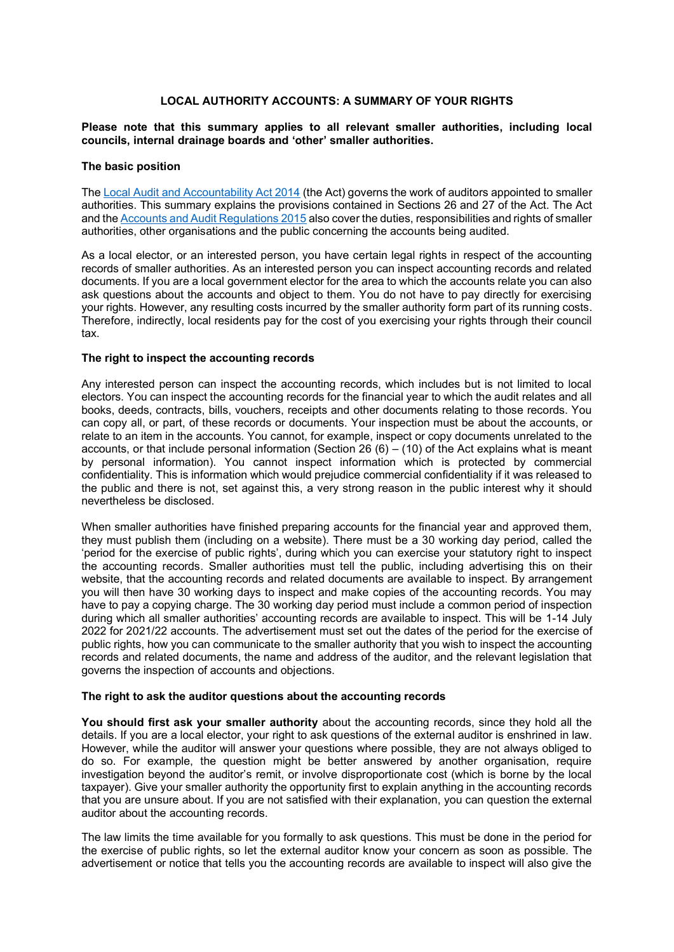### **LOCAL AUTHORITY ACCOUNTS: A SUMMARY OF YOUR RIGHTS**

#### **Please note that this summary applies to all relevant smaller authorities, including local councils, internal drainage boards and µother¶ smaller authorities.**

#### **The basic position**

Th[e Local Audit and Accountability Act 2014](http://www.legislation.gov.uk/ukpga/2014/2/contents) (the Act) governs the work of auditors appointed to smaller authorities. This summary explains the provisions contained in Sections 26 and 27 of the Act. The Act and the [Accounts and Audit Regulations 2015](http://www.legislation.gov.uk/uksi/2015/234/contents/made) also cover the duties, responsibilities and rights of smaller authorities, other organisations and the public concerning the accounts being audited.

As a local elector, or an interested person, you have certain legal rights in respect of the accounting records of smaller authorities. As an interested person you can inspect accounting records and related documents. If you are a local government elector for the area to which the accounts relate you can also ask questions about the accounts and object to them. You do not have to pay directly for exercising your rights. However, any resulting costs incurred by the smaller authority form part of its running costs. Therefore, indirectly, local residents pay for the cost of you exercising your rights through their council tax.

#### **The right to inspect the accounting records**

Any interested person can inspect the accounting records, which includes but is not limited to local electors. You can inspect the accounting records for the financial year to which the audit relates and all books, deeds, contracts, bills, vouchers, receipts and other documents relating to those records. You can copy all, or part, of these records or documents. Your inspection must be about the accounts, or relate to an item in the accounts. You cannot, for example, inspect or copy documents unrelated to the accounts, or that include personal information (Section 26  $(6) - (10)$  of the Act explains what is meant by personal information). You cannot inspect information which is protected by commercial confidentiality. This is information which would prejudice commercial confidentiality if it was released to the public and there is not, set against this, a very strong reason in the public interest why it should nevertheless be disclosed.

When smaller authorities have finished preparing accounts for the financial year and approved them, they must publish them (including on a website). There must be a 30 working day period, called the 'period for the exercise of public rights', during which you can exercise your statutory right to inspect the accounting records. Smaller authorities must tell the public, including advertising this on their website, that the accounting records and related documents are available to inspect. By arrangement you will then have 30 working days to inspect and make copies of the accounting records. You may have to pay a copying charge. The 30 working day period must include a common period of inspection during which all smaller authorities' accounting records are available to inspect. This will be 1-14 July 2022 for 2021/22 accounts. The advertisement must set out the dates of the period for the exercise of public rights, how you can communicate to the smaller authority that you wish to inspect the accounting records and related documents, the name and address of the auditor, and the relevant legislation that governs the inspection of accounts and objections.

#### **The right to ask the auditor questions about the accounting records**

**You should first ask your smaller authority** about the accounting records, since they hold all the details. If you are a local elector, your right to ask questions of the external auditor is enshrined in law. However, while the auditor will answer your questions where possible, they are not always obliged to do so. For example, the question might be better answered by another organisation, require investigation bevond the auditor's remit, or involve disproportionate cost (which is borne by the local taxpayer). Give your smaller authority the opportunity first to explain anything in the accounting records that you are unsure about. If you are not satisfied with their explanation, you can question the external auditor about the accounting records.

The law limits the time available for you formally to ask questions. This must be done in the period for the exercise of public rights, so let the external auditor know your concern as soon as possible. The advertisement or notice that tells you the accounting records are available to inspect will also give the